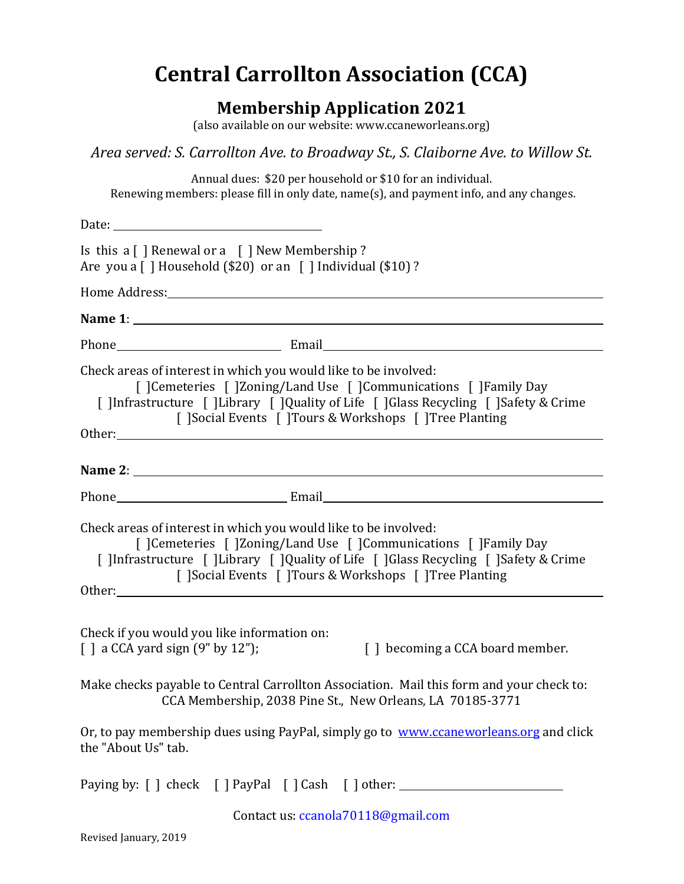# **Central Carrollton Association (CCA)**

## **Membership Application 2021**

(also available on our website: www.ccaneworleans.org)

*Area served: S. Carrollton Ave. to Broadway St., S. Claiborne Ave. to Willow St.*

Annual dues: \$20 per household or \$10 for an individual. Renewing members: please fill in only date, name(s), and payment info, and any changes.

| Is this a $\lceil \cdot \rceil$ Renewal or a $\lceil \cdot \rceil$ New Membership ?<br>Are you a $\lceil$   Household (\$20) or an $\lceil$   Individual (\$10) ?                                                                                                                     |
|---------------------------------------------------------------------------------------------------------------------------------------------------------------------------------------------------------------------------------------------------------------------------------------|
| Home Address: North Communication of the Address:                                                                                                                                                                                                                                     |
|                                                                                                                                                                                                                                                                                       |
|                                                                                                                                                                                                                                                                                       |
| Check areas of interest in which you would like to be involved:<br>[ ]Cemeteries [ ]Zoning/Land Use [ ]Communications [ ]Family Day<br>[ ]Infrastructure [ ]Library [ ]Quality of Life [ ]Glass Recycling [ ]Safety & Crime<br>[ ]Social Events [ ]Tours & Workshops [ ]Tree Planting |
|                                                                                                                                                                                                                                                                                       |
|                                                                                                                                                                                                                                                                                       |
| Check areas of interest in which you would like to be involved:<br>[ ]Cemeteries [ ]Zoning/Land Use [ ]Communications [ ]Family Day<br>[ ]Infrastructure [ ]Library [ ]Quality of Life [ ]Glass Recycling [ ]Safety & Crime<br>[ ]Social Events [ ]Tours & Workshops [ ]Tree Planting |
| Check if you would you like information on:<br>$\lceil$ a CCA yard sign $(9''$ by 12");<br>[] becoming a CCA board member.                                                                                                                                                            |
| Make checks payable to Central Carrollton Association. Mail this form and your check to:<br>CCA Membership, 2038 Pine St., New Orleans, LA 70185-3771                                                                                                                                 |
| Or, to pay membership dues using PayPal, simply go to www.ccaneworleans.org and click<br>the "About Us" tab.                                                                                                                                                                          |
| Paying by: [ ] check [ ] PayPal [ ] Cash [ ] other: ____________________________                                                                                                                                                                                                      |
| Contact us: ccanola70118@gmail.com                                                                                                                                                                                                                                                    |